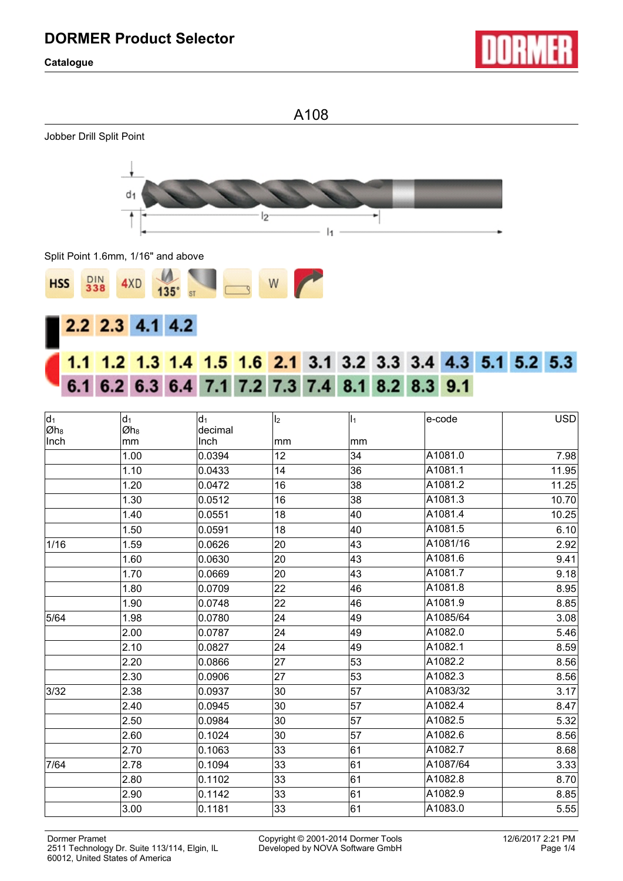**Catalogue**



A108







# 1.2 1.3 1.4 1.5 1.6 2.1 3.1 3.2 3.3 3.4 4.3 5.1 5.2 5.3 6.1 6.2 6.3 6.4 7.1 7.2 7.3 7.4 8.1 8.2 8.3 9.1

| $d_1$<br>$ Øh_8 $ | $d_1$<br>Øh <sub>8</sub> | d <sub>1</sub><br>decimal | $\mathsf{I}_2$ | $\mathsf{I}_1$ | e-code   | <b>USD</b> |
|-------------------|--------------------------|---------------------------|----------------|----------------|----------|------------|
| Inch              | mm                       | Inch                      | mm             | mm             |          |            |
|                   | 1.00                     | 0.0394                    | 12             | 34             | A1081.0  | 7.98       |
|                   | 1.10                     | 0.0433                    | 14             | 36             | A1081.1  | 11.95      |
|                   | 1.20                     | 0.0472                    | 16             | 38             | A1081.2  | 11.25      |
|                   | 1.30                     | 0.0512                    | 16             | 38             | A1081.3  | 10.70      |
|                   | 1.40                     | 0.0551                    | 18             | 40             | A1081.4  | 10.25      |
|                   | 1.50                     | 0.0591                    | 18             | 40             | A1081.5  | 6.10       |
| 1/16              | 1.59                     | 0.0626                    | 20             | 43             | A1081/16 | 2.92       |
|                   | 1.60                     | 0.0630                    | 20             | 43             | A1081.6  | 9.41       |
|                   | 1.70                     | 0.0669                    | 20             | 43             | A1081.7  | 9.18       |
|                   | 1.80                     | 0.0709                    | 22             | 46             | A1081.8  | 8.95       |
|                   | 1.90                     | 0.0748                    | 22             | 46             | A1081.9  | 8.85       |
| 5/64              | 1.98                     | 0.0780                    | 24             | 49             | A1085/64 | 3.08       |
|                   | 2.00                     | 0.0787                    | 24             | 49             | A1082.0  | 5.46       |
|                   | 2.10                     | 0.0827                    | 24             | 49             | A1082.1  | 8.59       |
|                   | 2.20                     | 0.0866                    | 27             | 53             | A1082.2  | 8.56       |
|                   | 2.30                     | 0.0906                    | 27             | 53             | A1082.3  | 8.56       |
| 3/32              | 2.38                     | 0.0937                    | 30             | 57             | A1083/32 | 3.17       |
|                   | 2.40                     | 0.0945                    | 30             | 57             | A1082.4  | 8.47       |
|                   | 2.50                     | 0.0984                    | 30             | 57             | A1082.5  | 5.32       |
|                   | 2.60                     | 0.1024                    | 30             | 57             | A1082.6  | 8.56       |
|                   | 2.70                     | 0.1063                    | 33             | 61             | A1082.7  | 8.68       |
| 7/64              | 2.78                     | 0.1094                    | 33             | 61             | A1087/64 | 3.33       |
|                   | 2.80                     | 0.1102                    | 33             | 61             | A1082.8  | 8.70       |
|                   | 2.90                     | 0.1142                    | 33             | 61             | A1082.9  | 8.85       |
|                   | 3.00                     | 0.1181                    | 33             | 61             | A1083.0  | 5.55       |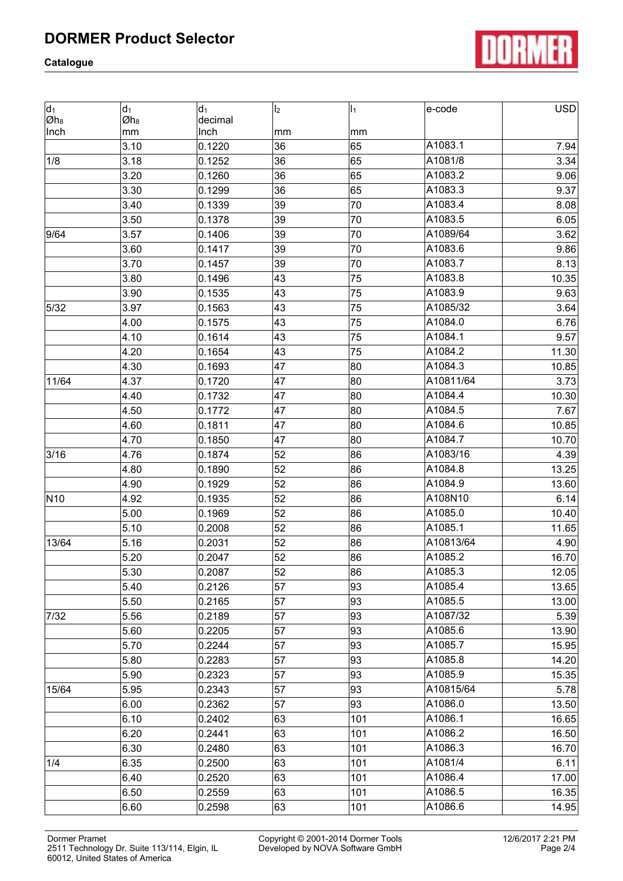**Catalogue**



| $d_1$<br>Øh <sub>8</sub> | $d_1$<br>Øh <sub>8</sub> | $d_1$<br>decimal | I <sub>2</sub>  | $\vert$ <sub>1</sub> | e-code    | <b>USD</b> |
|--------------------------|--------------------------|------------------|-----------------|----------------------|-----------|------------|
| Inch                     | mm                       | Inch             | mm              | mm                   |           |            |
|                          | 3.10                     | 0.1220           | 36              | 65                   | A1083.1   | 7.94       |
| 1/8                      | 3.18                     | 0.1252           | 36              | 65                   | A1081/8   | 3.34       |
|                          | 3.20                     | 0.1260           | 36              | 65                   | A1083.2   | 9.06       |
|                          | 3.30                     | 0.1299           | 36              | 65                   | A1083.3   | 9.37       |
|                          | 3.40                     | 0.1339           | 39              | 70                   | A1083.4   | 8.08       |
|                          | 3.50                     | 0.1378           | 39              | 70                   | A1083.5   | 6.05       |
| 9/64                     | 3.57                     | 0.1406           | 39              | 70                   | A1089/64  | 3.62       |
|                          | 3.60                     | 0.1417           | 39              | 70                   | A1083.6   | 9.86       |
|                          | 3.70                     | 0.1457           | 39              | 70                   | A1083.7   | 8.13       |
|                          | 3.80                     | 0.1496           | 43              | 75                   | A1083.8   | 10.35      |
|                          | 3.90                     | 0.1535           | 43              | 75                   | A1083.9   | 9.63       |
| 5/32                     | 3.97                     | 0.1563           | 43              | 75                   | A1085/32  | 3.64       |
|                          | 4.00                     | 0.1575           | 43              | 75                   | A1084.0   | 6.76       |
|                          | 4.10                     | 0.1614           | 43              | 75                   | A1084.1   | 9.57       |
|                          | 4.20                     | 0.1654           | 43              | 75                   | A1084.2   | 11.30      |
|                          | 4.30                     | 0.1693           | 47              | 80                   | A1084.3   | 10.85      |
| 11/64                    | 4.37                     | 0.1720           | 47              | 80                   | A10811/64 | 3.73       |
|                          | 4.40                     | 0.1732           | 47              | 80                   | A1084.4   | 10.30      |
|                          | 4.50                     | 0.1772           | 47              | 80                   | A1084.5   | 7.67       |
|                          | 4.60                     | 0.1811           | 47              | 80                   | A1084.6   | 10.85      |
|                          | 4.70                     | 0.1850           | 47              | 80                   | A1084.7   | 10.70      |
| 3/16                     | 4.76                     | 0.1874           | 52              | 86                   | A1083/16  | 4.39       |
|                          | 4.80                     | 0.1890           | 52              | 86                   | A1084.8   | 13.25      |
|                          | 4.90                     | 0.1929           | 52              | 86                   | A1084.9   | 13.60      |
| N <sub>10</sub>          | 4.92                     | 0.1935           | 52              | 86                   | A108N10   | 6.14       |
|                          | 5.00                     | 0.1969           | 52              | 86                   | A1085.0   | 10.40      |
|                          | 5.10                     | 0.2008           | 52              | 86                   | A1085.1   | 11.65      |
| 13/64                    | 5.16                     | 0.2031           | 52              | 86                   | A10813/64 | 4.90       |
|                          | 5.20                     | 0.2047           | 52              | 86                   | A1085.2   | 16.70      |
|                          | 5.30                     | 0.2087           | $\overline{52}$ | 86                   | A1085.3   | 12.05      |
|                          | 5.40                     | 0.2126           | 57              | 93                   | A1085.4   | 13.65      |
|                          | 5.50                     | 0.2165           | 57              | 93                   | A1085.5   | 13.00      |
| 7/32                     | 5.56                     | 0.2189           | 57              | 93                   | A1087/32  | 5.39       |
|                          | 5.60                     | 0.2205           | 57              | 93                   | A1085.6   | 13.90      |
|                          | 5.70                     | 0.2244           | 57              | 93                   | A1085.7   | 15.95      |
|                          | 5.80                     | 0.2283           | 57              | 93                   | A1085.8   | 14.20      |
|                          | 5.90                     | 0.2323           | 57              | 93                   | A1085.9   | 15.35      |
| 15/64                    | 5.95                     | 0.2343           | 57              | 93                   | A10815/64 | 5.78       |
|                          | 6.00                     | 0.2362           | 57              | 93                   | A1086.0   | 13.50      |
|                          | 6.10                     | 0.2402           | 63              | 101                  | A1086.1   | 16.65      |
|                          | 6.20                     | 0.2441           | 63              | 101                  | A1086.2   | 16.50      |
|                          | 6.30                     | 0.2480           | 63              | 101                  | A1086.3   | 16.70      |
| 1/4                      | 6.35                     | 0.2500           | 63              | 101                  | A1081/4   | 6.11       |
|                          | 6.40                     | 0.2520           | 63              | 101                  | A1086.4   | 17.00      |
|                          | 6.50                     | 0.2559           | 63              | 101                  | A1086.5   | 16.35      |
|                          | 6.60                     | 0.2598           | 63              | 101                  | A1086.6   | 14.95      |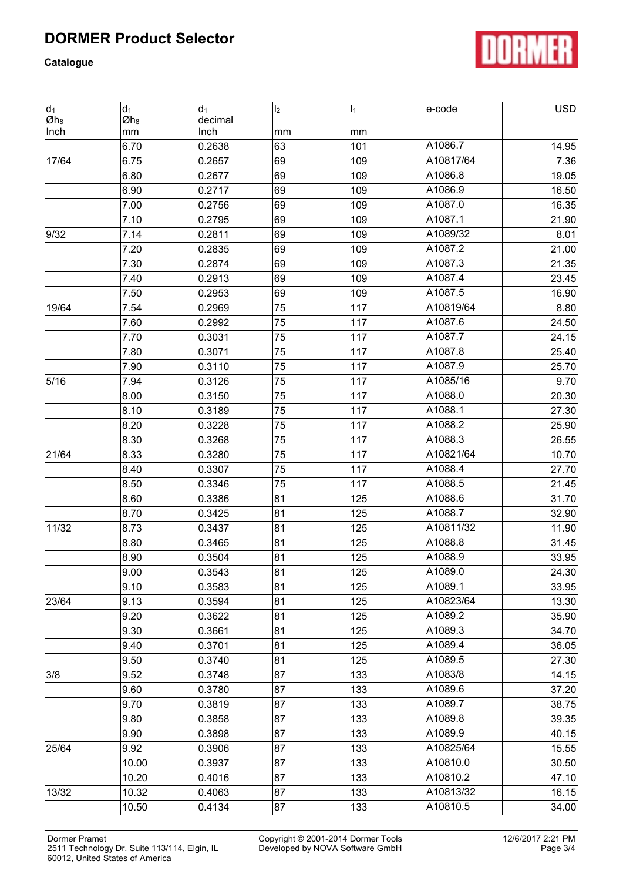**Catalogue**



| $d_1$<br>$ Øh_8 $ | $d_1$<br>Øh8 | $d_1$<br>decimal | I <sub>2</sub>  | I <sub>1</sub> | e-code    | <b>USD</b> |
|-------------------|--------------|------------------|-----------------|----------------|-----------|------------|
| Inch              | mm           | Inch             | mm              | mm             |           |            |
|                   | 6.70         | 0.2638           | 63              | 101            | A1086.7   | 14.95      |
| 17/64             | 6.75         | 0.2657           | 69              | 109            | A10817/64 | 7.36       |
|                   | 6.80         | 0.2677           | 69              | 109            | A1086.8   | 19.05      |
|                   | 6.90         | 0.2717           | 69              | 109            | A1086.9   | 16.50      |
|                   | 7.00         | 0.2756           | 69              | 109            | A1087.0   | 16.35      |
|                   | 7.10         | 0.2795           | 69              | 109            | A1087.1   | 21.90      |
| 9/32              | 7.14         | 0.2811           | 69              | 109            | A1089/32  | 8.01       |
|                   | 7.20         | 0.2835           | 69              | 109            | A1087.2   | 21.00      |
|                   | 7.30         | 0.2874           | 69              | 109            | A1087.3   | 21.35      |
|                   | 7.40         | 0.2913           | 69              | 109            | A1087.4   | 23.45      |
|                   | 7.50         | 0.2953           | 69              | 109            | A1087.5   | 16.90      |
| 19/64             | 7.54         | 0.2969           | 75              | 117            | A10819/64 | 8.80       |
|                   | 7.60         | 0.2992           | 75              | 117            | A1087.6   | 24.50      |
|                   | 7.70         | 0.3031           | 75              | 117            | A1087.7   | 24.15      |
|                   | 7.80         | 0.3071           | 75              | 117            | A1087.8   | 25.40      |
|                   | 7.90         | 0.3110           | 75              | 117            | A1087.9   | 25.70      |
| 5/16              | 7.94         | 0.3126           | 75              | 117            | A1085/16  | 9.70       |
|                   | 8.00         | 0.3150           | 75              | 117            | A1088.0   | 20.30      |
|                   | 8.10         | 0.3189           | 75              | 117            | A1088.1   | 27.30      |
|                   | 8.20         | 0.3228           | 75              | 117            | A1088.2   | 25.90      |
|                   | 8.30         | 0.3268           | 75              | 117            | A1088.3   | 26.55      |
| 21/64             | 8.33         | 0.3280           | 75              | 117            | A10821/64 | 10.70      |
|                   | 8.40         | 0.3307           | 75              | 117            | A1088.4   | 27.70      |
|                   | 8.50         | 0.3346           | 75              | 117            | A1088.5   | 21.45      |
|                   | 8.60         | 0.3386           | 81              | 125            | A1088.6   | 31.70      |
|                   | 8.70         | 0.3425           | 81              | 125            | A1088.7   | 32.90      |
| 11/32             | 8.73         | 0.3437           | 81              | 125            | A10811/32 | 11.90      |
|                   | 8.80         | 0.3465           | 81              | 125            | A1088.8   | 31.45      |
|                   | 8.90         | 0.3504           | 81              | 125            | A1088.9   | 33.95      |
|                   | 9.00         | 0.3543           | $\overline{81}$ | 125            | A1089.0   | 24.30      |
|                   | 9.10         | 0.3583           | 81              | 125            | A1089.1   | 33.95      |
| 23/64             | 9.13         | 0.3594           | 81              | 125            | A10823/64 | 13.30      |
|                   | 9.20         | 0.3622           | 81              | 125            | A1089.2   | 35.90      |
|                   | 9.30         | 0.3661           | 81              | 125            | A1089.3   | 34.70      |
|                   | 9.40         | 0.3701           | 81              | 125            | A1089.4   | 36.05      |
|                   | 9.50         | 0.3740           | 81              | 125            | A1089.5   | 27.30      |
| 3/8               | 9.52         | 0.3748           | 87              | 133            | A1083/8   | 14.15      |
|                   | 9.60         | 0.3780           | 87              | 133            | A1089.6   | 37.20      |
|                   | 9.70         | 0.3819           | 87              | 133            | A1089.7   | 38.75      |
|                   | 9.80         | 0.3858           | 87              | 133            | A1089.8   | 39.35      |
|                   | 9.90         | 0.3898           | 87              | 133            | A1089.9   | 40.15      |
| 25/64             | 9.92         | 0.3906           | 87              | 133            | A10825/64 | 15.55      |
|                   | 10.00        | 0.3937           | 87              | 133            | A10810.0  | 30.50      |
|                   | 10.20        | 0.4016           | 87              | 133            | A10810.2  | 47.10      |
| 13/32             | 10.32        | 0.4063           | 87              | 133            | A10813/32 | 16.15      |
|                   | 10.50        | 0.4134           | 87              | 133            | A10810.5  | 34.00      |

Dormer Pramet Copyright © 2001-2014 Dormer Tools 12/6/2017 2:21 PM 2511 Technology Dr. Suite 113/114, Elgin, IL 60012, United States of America

Copyright © 2001-2014 Dormer Tools<br>Developed by NOVA Software GmbH Page 3/4